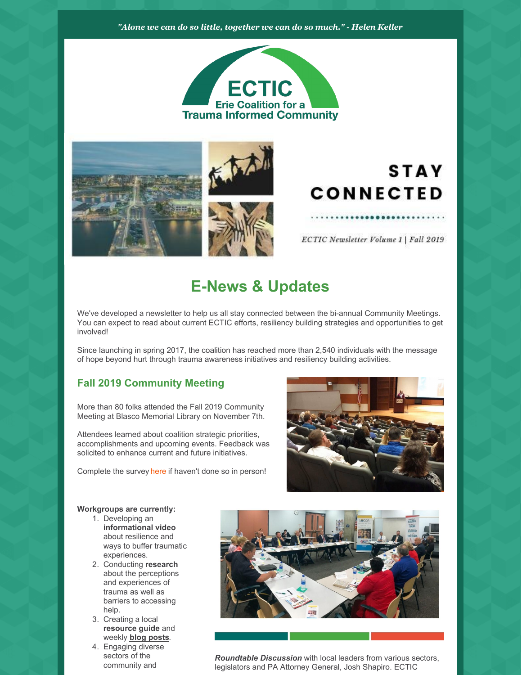### *"Alone we can do so little, together we can do so much." - Helen Keller*





# **STAY CONNECTED**

ECTIC Newsletter Volume 1 | Fall 2019

# **E-News & Updates**

We've developed a newsletter to help us all stay connected between the bi-annual Community Meetings. You can expect to read about current ECTIC efforts, resiliency building strategies and opportunities to get involved!

Since launching in spring 2017, the coalition has reached more than 2,540 individuals with the message of hope beyond hurt through trauma awareness initiatives and resiliency building activities.

## **Fall 2019 Community Meeting**

More than 80 folks attended the Fall 2019 Community Meeting at Blasco Memorial Library on November 7th.

Attendees learned about coalition strategic priorities, accomplishments and upcoming events. Feedback was solicited to enhance current and future initiatives.

Complete the survey [here](https://www.surveymonkey.com/r/ECTICFallmeetingsurvey) if haven't done so in person!



#### **Workgroups are currently:**

- 1. Developing an **informational video** about resilience and ways to buffer traumatic experiences.
- 2. Conducting **research** about the perceptions and experiences of trauma as well as barriers to accessing help.
- 3. Creating a local **resource guide** and weekly **blog [posts](https://www.traumainformederie.org/blog)**.
- 4. Engaging diverse sectors of the community and



*Roundtable Discussion* with local leaders from various sectors, legislators and PA Attorney General, Josh Shapiro. ECTIC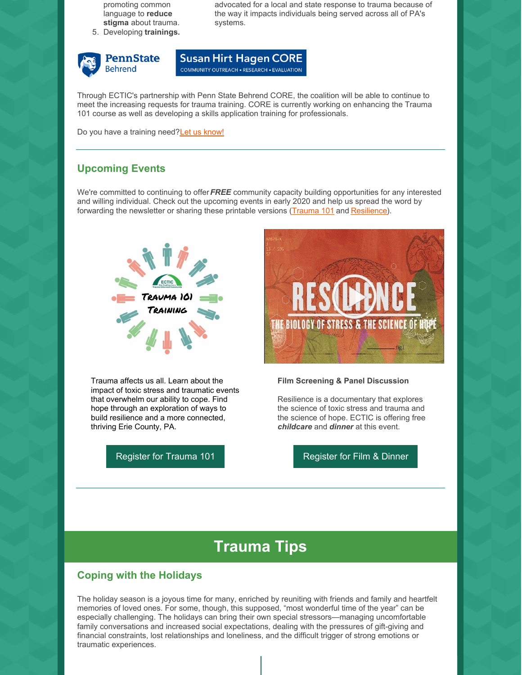promoting common language to **reduce stigma** about trauma.

5. Developing **trainings.**



advocated for a local and state response to trauma because of the way it impacts individuals being served across all of PA's systems.

**Susan Hirt Hagen CORE** COMMUNITY OUTREACH . RESEARCH . EVALUATION

Through ECTIC's partnership with Penn State Behrend CORE, the coalition will be able to continue to meet the increasing requests for trauma training. CORE is currently working on enhancing the Trauma 101 course as well as developing a skills application training for professionals.

Do you have a training need?Let us [know!](https://www.traumainformederie.org/training)

### **Upcoming Events**

We're committed to continuing to offer*FREE* community capacity building opportunities for any interested and willing individual. Check out the upcoming events in early 2020 and help us spread the word by forwarding the newsletter or sharing these printable versions [\(Trauma](https://files.constantcontact.com/c4a18951701/0b6630cf-d396-42ec-b3e1-2190cfb0a85e.pdf) 101 and [Resilience](https://files.constantcontact.com/c4a18951701/7b8805cd-4e74-467d-81a3-19047e4303a8.pdf)).



Trauma affects us all. Learn about the impact of toxic stress and traumatic events that overwhelm our ability to cope. Find hope through an exploration of ways to build resilience and a more connected, thriving Erie County, PA.

[Register](https://www.traumainformederie.org/events/resilience-film-screening-community-discussion) for Trauma 101 **Register for Film & Dinner** 



#### **Film Screening & Panel Discussion**

Resilience is a documentary that explores the science of toxic stress and trauma and the science of hope. ECTIC is offering free *childcare* and *dinner* at this event.

# **Trauma Tips**

### **Coping with the Holidays**

The holiday season is a joyous time for many, enriched by reuniting with friends and family and heartfelt memories of loved ones. For some, though, this supposed, "most wonderful time of the year" can be especially challenging. The holidays can bring their own special stressors—managing uncomfortable family conversations and increased social expectations, dealing with the pressures of gift-giving and financial constraints, lost relationships and loneliness, and the difficult trigger of strong emotions or traumatic experiences.